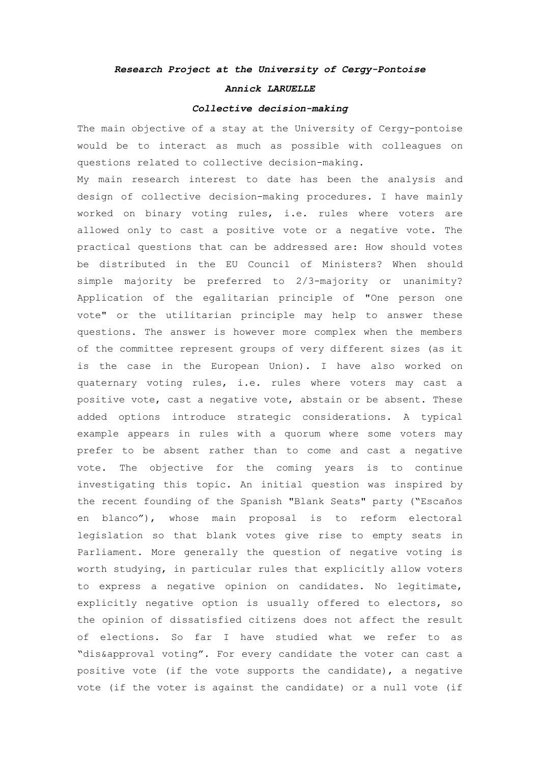## *Research Project at the University of Cergy-Pontoise*

## *Annick LARUELLE*

## *Collective decision-making*

The main objective of a stay at the University of Cergy-pontoise would be to interact as much as possible with colleagues on questions related to collective decision-making.

My main research interest to date has been the analysis and design of collective decision-making procedures. I have mainly worked on binary voting rules, i.e. rules where voters are allowed only to cast a positive vote or a negative vote. The practical questions that can be addressed are: How should votes be distributed in the EU Council of Ministers? When should simple majority be preferred to 2/3-majority or unanimity? Application of the egalitarian principle of "One person one vote" or the utilitarian principle may help to answer these questions. The answer is however more complex when the members of the committee represent groups of very different sizes (as it is the case in the European Union). I have also worked on quaternary voting rules, i.e. rules where voters may cast a positive vote, cast a negative vote, abstain or be absent. These added options introduce strategic considerations. A typical example appears in rules with a quorum where some voters may prefer to be absent rather than to come and cast a negative vote. The objective for the coming years is to continue investigating this topic. An initial question was inspired by the recent founding of the Spanish "Blank Seats" party ("Escaños en blanco"), whose main proposal is to reform electoral legislation so that blank votes give rise to empty seats in Parliament. More generally the question of negative voting is worth studying, in particular rules that explicitly allow voters to express a negative opinion on candidates. No legitimate, explicitly negative option is usually offered to electors, so the opinion of dissatisfied citizens does not affect the result of elections. So far I have studied what we refer to as "dis&approval voting". For every candidate the voter can cast a positive vote (if the vote supports the candidate), a negative vote (if the voter is against the candidate) or a null vote (if